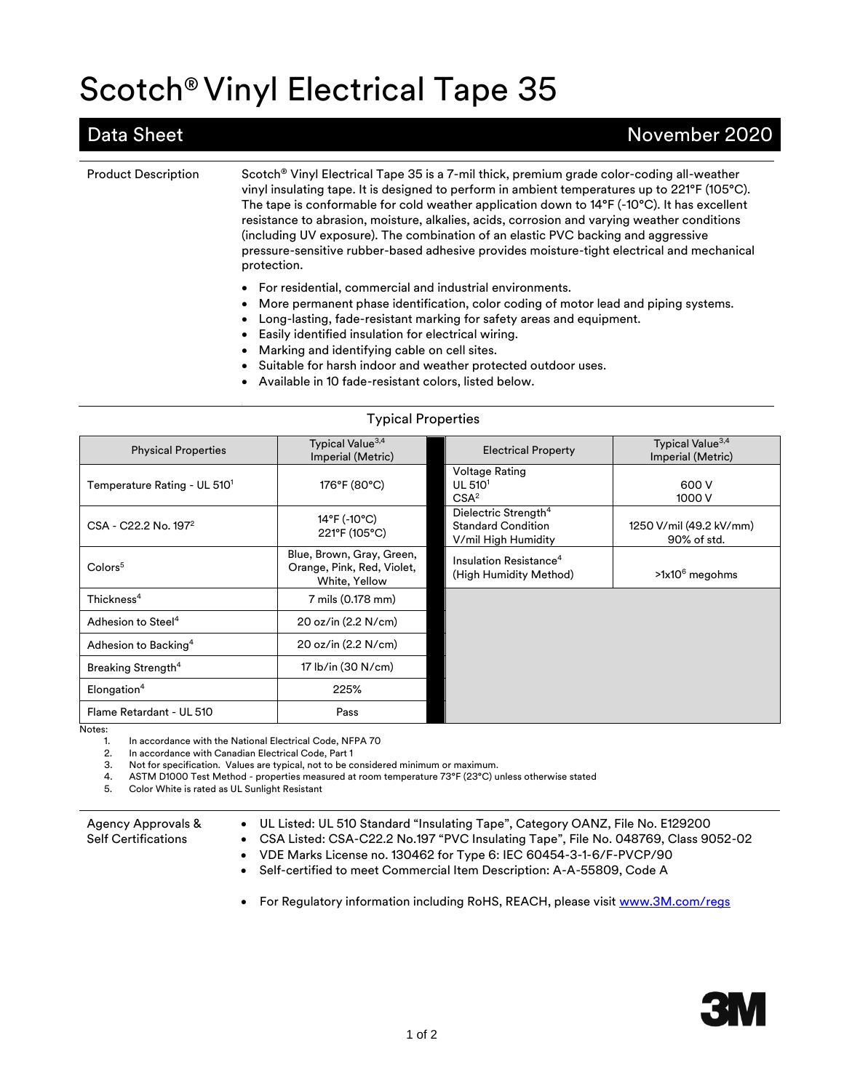# Scotch® Vinyl Electrical Tape 35

### Data Sheet November 2020

Product Description Scotch® Vinyl Electrical Tape 35 is a 7-mil thick, premium grade color-coding all-weather vinyl insulating tape. It is designed to perform in ambient temperatures up to 221°F (105°C). The tape is conformable for cold weather application down to 14°F (-10°C). It has excellent resistance to abrasion, moisture, alkalies, acids, corrosion and varying weather conditions (including UV exposure). The combination of an elastic PVC backing and aggressive pressure-sensitive rubber-based adhesive provides moisture-tight electrical and mechanical protection.

- For residential, commercial and industrial environments.
- More permanent phase identification, color coding of motor lead and piping systems.
- Long-lasting, fade-resistant marking for safety areas and equipment.
- Easily identified insulation for electrical wiring.
- Marking and identifying cable on cell sites.
- Suitable for harsh indoor and weather protected outdoor uses.
- Available in 10 fade-resistant colors, listed below.

| <b>Typical Properties</b>                |                                                                          |                                                                                      |                                                   |  |
|------------------------------------------|--------------------------------------------------------------------------|--------------------------------------------------------------------------------------|---------------------------------------------------|--|
| <b>Physical Properties</b>               | Typical Value <sup>3,4</sup><br>Imperial (Metric)                        | <b>Electrical Property</b>                                                           | Typical Value <sup>3,4</sup><br>Imperial (Metric) |  |
| Temperature Rating - UL 510 <sup>1</sup> | 176°F (80°C)                                                             | Voltage Rating<br>UL 510 <sup>1</sup><br>CSA <sup>2</sup>                            | 600 V<br>1000 V                                   |  |
| CSA - C22.2 No. 197 <sup>2</sup>         | 14°F (-10°C)<br>221°F (105°C)                                            | Dielectric Strength <sup>4</sup><br><b>Standard Condition</b><br>V/mil High Humidity | 1250 V/mil (49.2 kV/mm)<br>90% of std.            |  |
| Color <sub>5</sub>                       | Blue, Brown, Gray, Green,<br>Orange, Pink, Red, Violet,<br>White, Yellow | Insulation Resistance <sup>4</sup><br>(High Humidity Method)                         | $>1x10^6$ megohms                                 |  |
| Thickness $4$                            | 7 mils (0.178 mm)                                                        |                                                                                      |                                                   |  |
| Adhesion to Steel <sup>4</sup>           | 20 oz/in (2.2 N/cm)                                                      |                                                                                      |                                                   |  |
| Adhesion to Backing <sup>4</sup>         | 20 oz/in (2.2 N/cm)                                                      |                                                                                      |                                                   |  |
| Breaking Strength <sup>4</sup>           | 17 lb/in (30 N/cm)                                                       |                                                                                      |                                                   |  |
| Elongation <sup>4</sup>                  | 225%                                                                     |                                                                                      |                                                   |  |
| Flame Retardant - UL 510                 | Pass                                                                     |                                                                                      |                                                   |  |

Notes:

1. In accordance with the National Electrical Code, NFPA 70<br>2. In accordance with Canadian Electrical Code, Part 1

In accordance with Canadian Electrical Code, Part 1

3. Not for specification. Values are typical, not to be considered minimum or maximum.

4. ASTM D1000 Test Method - properties measured at room temperature 73°F (23°C) unless otherwise stated

5. Color White is rated as UL Sunlight Resistant

| Agency Approvals &         | • UL Listed: UL 510 Standard "Insulating Tape", Category OANZ, File No. E129200      |
|----------------------------|--------------------------------------------------------------------------------------|
| <b>Self Certifications</b> | • CSA Listed: CSA-C22.2 No.197 "PVC Insulating Tape", File No. 048769, Class 9052-02 |
|                            | • VDE Marks License no. 130462 for Type 6: IEC 60454-3-1-6/F-PVCP/90                 |

• Self-certified to meet Commercial Item Description: A-A-55809, Code A

• For Regulatory information including RoHS, REACH, please visi[t www.3M.com/r](http://www.3m.com/)egs